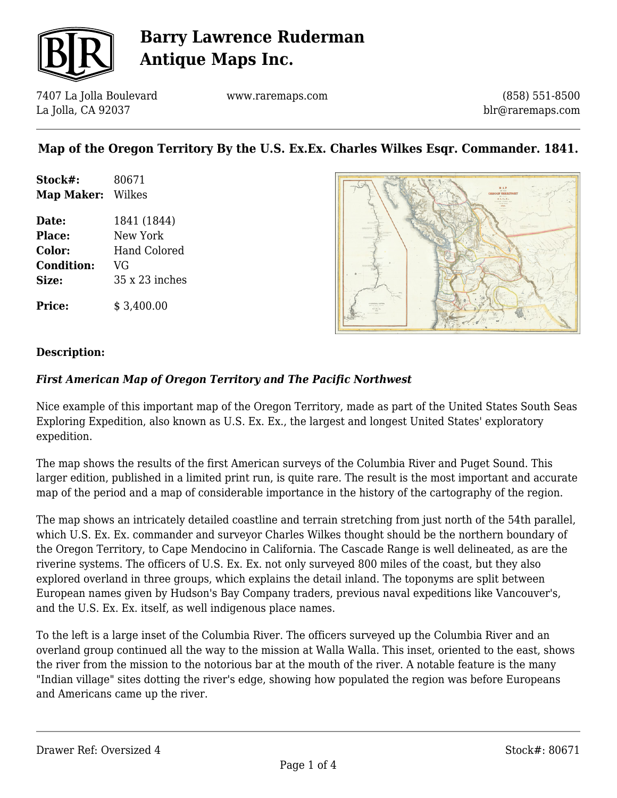

7407 La Jolla Boulevard La Jolla, CA 92037

www.raremaps.com

(858) 551-8500 blr@raremaps.com

## **Map of the Oregon Territory By the U.S. Ex.Ex. Charles Wilkes Esqr. Commander. 1841.**

| Stock#:    | 80671  |
|------------|--------|
| Map Maker: | Wilkes |

**Date:** 1841 (1844) **Place:** New York **Color:** Hand Colored **Condition:** VG **Size:** 35 x 23 inches

**Price:** \$ 3,400.00



#### **Description:**

### *First American Map of Oregon Territory and The Pacific Northwest*

Nice example of this important map of the Oregon Territory, made as part of the United States South Seas Exploring Expedition, also known as U.S. Ex. Ex., the largest and longest United States' exploratory expedition.

The map shows the results of the first American surveys of the Columbia River and Puget Sound. This larger edition, published in a limited print run, is quite rare. The result is the most important and accurate map of the period and a map of considerable importance in the history of the cartography of the region.

The map shows an intricately detailed coastline and terrain stretching from just north of the 54th parallel, which U.S. Ex. Ex. commander and surveyor Charles Wilkes thought should be the northern boundary of the Oregon Territory, to Cape Mendocino in California. The Cascade Range is well delineated, as are the riverine systems. The officers of U.S. Ex. Ex. not only surveyed 800 miles of the coast, but they also explored overland in three groups, which explains the detail inland. The toponyms are split between European names given by Hudson's Bay Company traders, previous naval expeditions like Vancouver's, and the U.S. Ex. Ex. itself, as well indigenous place names.

To the left is a large inset of the Columbia River. The officers surveyed up the Columbia River and an overland group continued all the way to the mission at Walla Walla. This inset, oriented to the east, shows the river from the mission to the notorious bar at the mouth of the river. A notable feature is the many "Indian village" sites dotting the river's edge, showing how populated the region was before Europeans and Americans came up the river.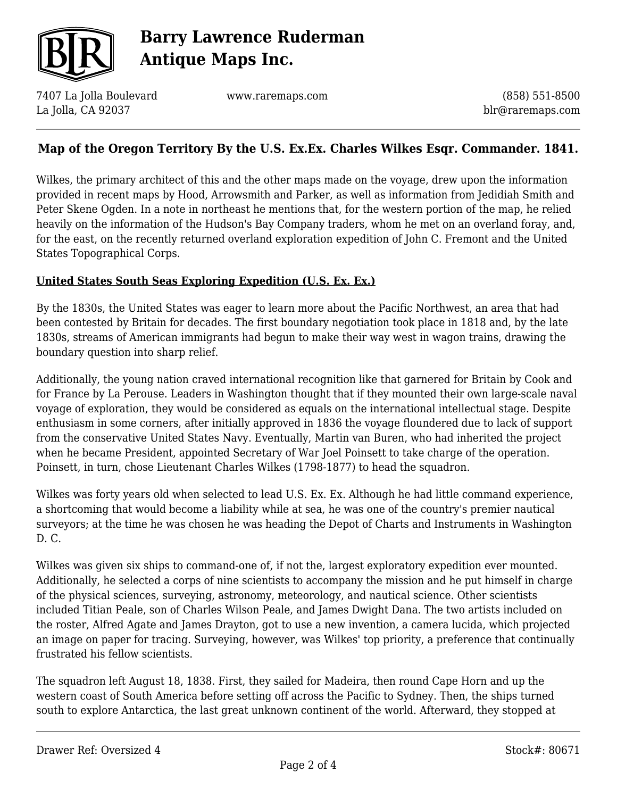

7407 La Jolla Boulevard La Jolla, CA 92037

www.raremaps.com

(858) 551-8500 blr@raremaps.com

## **Map of the Oregon Territory By the U.S. Ex.Ex. Charles Wilkes Esqr. Commander. 1841.**

Wilkes, the primary architect of this and the other maps made on the voyage, drew upon the information provided in recent maps by Hood, Arrowsmith and Parker, as well as information from Jedidiah Smith and Peter Skene Ogden. In a note in northeast he mentions that, for the western portion of the map, he relied heavily on the information of the Hudson's Bay Company traders, whom he met on an overland foray, and, for the east, on the recently returned overland exploration expedition of John C. Fremont and the United States Topographical Corps.

### **United States South Seas Exploring Expedition (U.S. Ex. Ex.)**

By the 1830s, the United States was eager to learn more about the Pacific Northwest, an area that had been contested by Britain for decades. The first boundary negotiation took place in 1818 and, by the late 1830s, streams of American immigrants had begun to make their way west in wagon trains, drawing the boundary question into sharp relief.

Additionally, the young nation craved international recognition like that garnered for Britain by Cook and for France by La Perouse. Leaders in Washington thought that if they mounted their own large-scale naval voyage of exploration, they would be considered as equals on the international intellectual stage. Despite enthusiasm in some corners, after initially approved in 1836 the voyage floundered due to lack of support from the conservative United States Navy. Eventually, Martin van Buren, who had inherited the project when he became President, appointed Secretary of War Joel Poinsett to take charge of the operation. Poinsett, in turn, chose Lieutenant Charles Wilkes (1798-1877) to head the squadron.

Wilkes was forty years old when selected to lead U.S. Ex. Ex. Although he had little command experience, a shortcoming that would become a liability while at sea, he was one of the country's premier nautical surveyors; at the time he was chosen he was heading the Depot of Charts and Instruments in Washington D. C.

Wilkes was given six ships to command-one of, if not the, largest exploratory expedition ever mounted. Additionally, he selected a corps of nine scientists to accompany the mission and he put himself in charge of the physical sciences, surveying, astronomy, meteorology, and nautical science. Other scientists included Titian Peale, son of Charles Wilson Peale, and James Dwight Dana. The two artists included on the roster, Alfred Agate and James Drayton, got to use a new invention, a camera lucida, which projected an image on paper for tracing. Surveying, however, was Wilkes' top priority, a preference that continually frustrated his fellow scientists.

The squadron left August 18, 1838. First, they sailed for Madeira, then round Cape Horn and up the western coast of South America before setting off across the Pacific to Sydney. Then, the ships turned south to explore Antarctica, the last great unknown continent of the world. Afterward, they stopped at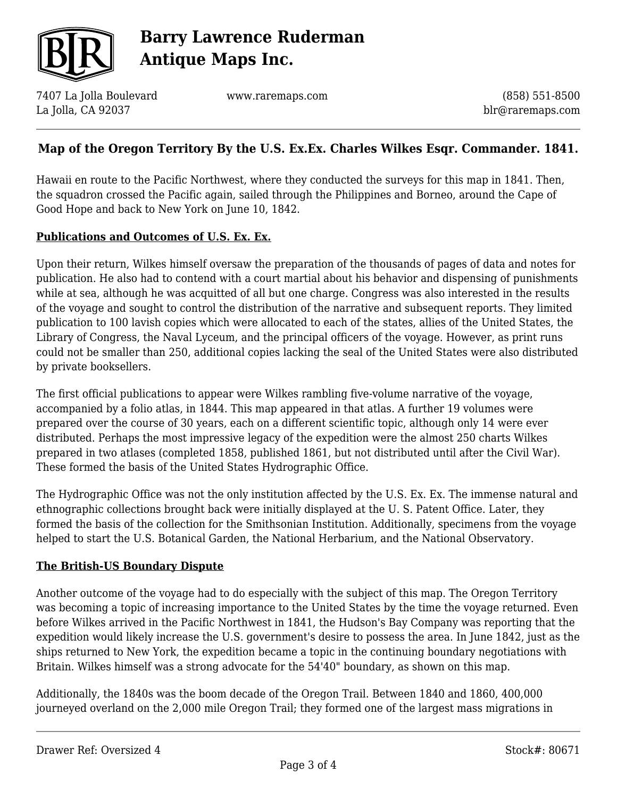

7407 La Jolla Boulevard La Jolla, CA 92037

www.raremaps.com

(858) 551-8500 blr@raremaps.com

### **Map of the Oregon Territory By the U.S. Ex.Ex. Charles Wilkes Esqr. Commander. 1841.**

Hawaii en route to the Pacific Northwest, where they conducted the surveys for this map in 1841. Then, the squadron crossed the Pacific again, sailed through the Philippines and Borneo, around the Cape of Good Hope and back to New York on June 10, 1842.

#### **Publications and Outcomes of U.S. Ex. Ex.**

Upon their return, Wilkes himself oversaw the preparation of the thousands of pages of data and notes for publication. He also had to contend with a court martial about his behavior and dispensing of punishments while at sea, although he was acquitted of all but one charge. Congress was also interested in the results of the voyage and sought to control the distribution of the narrative and subsequent reports. They limited publication to 100 lavish copies which were allocated to each of the states, allies of the United States, the Library of Congress, the Naval Lyceum, and the principal officers of the voyage. However, as print runs could not be smaller than 250, additional copies lacking the seal of the United States were also distributed by private booksellers.

The first official publications to appear were Wilkes rambling five-volume narrative of the voyage, accompanied by a folio atlas, in 1844. This map appeared in that atlas. A further 19 volumes were prepared over the course of 30 years, each on a different scientific topic, although only 14 were ever distributed. Perhaps the most impressive legacy of the expedition were the almost 250 charts Wilkes prepared in two atlases (completed 1858, published 1861, but not distributed until after the Civil War). These formed the basis of the United States Hydrographic Office.

The Hydrographic Office was not the only institution affected by the U.S. Ex. Ex. The immense natural and ethnographic collections brought back were initially displayed at the U. S. Patent Office. Later, they formed the basis of the collection for the Smithsonian Institution. Additionally, specimens from the voyage helped to start the U.S. Botanical Garden, the National Herbarium, and the National Observatory.

### **The British-US Boundary Dispute**

Another outcome of the voyage had to do especially with the subject of this map. The Oregon Territory was becoming a topic of increasing importance to the United States by the time the voyage returned. Even before Wilkes arrived in the Pacific Northwest in 1841, the Hudson's Bay Company was reporting that the expedition would likely increase the U.S. government's desire to possess the area. In June 1842, just as the ships returned to New York, the expedition became a topic in the continuing boundary negotiations with Britain. Wilkes himself was a strong advocate for the 54'40" boundary, as shown on this map.

Additionally, the 1840s was the boom decade of the Oregon Trail. Between 1840 and 1860, 400,000 journeyed overland on the 2,000 mile Oregon Trail; they formed one of the largest mass migrations in